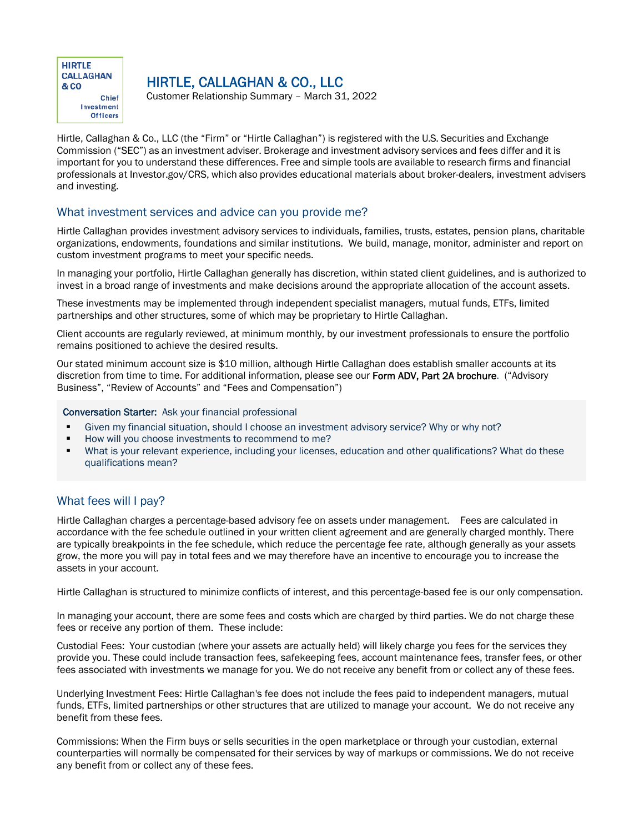**HIRTLE CALLAGHAN & CO Chief** Investment **Officers** 

# HIRTLE, CALLAGHAN & CO., LLC

Customer Relationship Summary – March 31, 2022

Hirtle, Callaghan & Co., LLC (the "Firm" or "Hirtle Callaghan") is registered with the U.S. Securities and Exchange Commission ("SEC") as an investment adviser. Brokerage and investment advisory services and fees differ and it is important for you to understand these differences. Free and simple tools are available to research firms and financial professionals at Investor.gov/CRS, which also provides educational materials about broker-dealers, investment advisers and investing.

# What investment services and advice can you provide me?

Hirtle Callaghan provides investment advisory services to individuals, families, trusts, estates, pension plans, charitable organizations, endowments, foundations and similar institutions. We build, manage, monitor, administer and report on custom investment programs to meet your specific needs.

In managing your portfolio, Hirtle Callaghan generally has discretion, within stated client guidelines, and is authorized to invest in a broad range of investments and make decisions around the appropriate allocation of the account assets.

These investments may be implemented through independent specialist managers, mutual funds, ETFs, limited partnerships and other structures, some of which may be proprietary to Hirtle Callaghan.

Client accounts are regularly reviewed, at minimum monthly, by our investment professionals to ensure the portfolio remains positioned to achieve the desired results.

Our stated minimum account size is \$10 million, although Hirtle Callaghan does establish smaller accounts at its discretion from time to time. For additional information, please see our Form ADV, Part 2A brochure. ("Advisory Business", "Review of Accounts" and "Fees and Compensation")

#### Conversation Starter: Ask your financial professional

- Given my financial situation, should I choose an investment advisory service? Why or why not?
- How will you choose investments to recommend to me?
- What is your relevant experience, including your licenses, education and other qualifications? What do these qualifications mean?

# What fees will I pay?

Hirtle Callaghan charges a percentage-based advisory fee on assets under management. Fees are calculated in accordance with the fee schedule outlined in your written client agreement and are generally charged monthly. There are typically breakpoints in the fee schedule, which reduce the percentage fee rate, although generally as your assets grow, the more you will pay in total fees and we may therefore have an incentive to encourage you to increase the assets in your account.

Hirtle Callaghan is structured to minimize conflicts of interest, and this percentage-based fee is our only compensation.

In managing your account, there are some fees and costs which are charged by third parties. We do not charge these fees or receive any portion of them. These include:

Custodial Fees: Your custodian (where your assets are actually held) will likely charge you fees for the services they provide you. These could include transaction fees, safekeeping fees, account maintenance fees, transfer fees, or other fees associated with investments we manage for you. We do not receive any benefit from or collect any of these fees.

Underlying Investment Fees: Hirtle Callaghan's fee does not include the fees paid to independent managers, mutual funds, ETFs, limited partnerships or other structures that are utilized to manage your account. We do not receive any benefit from these fees.

Commissions: When the Firm buys or sells securities in the open marketplace or through your custodian, external counterparties will normally be compensated for their services by way of markups or commissions. We do not receive any benefit from or collect any of these fees.